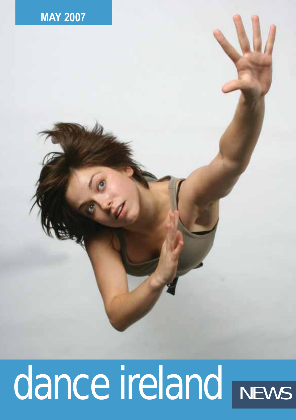

# dance ireland NEWS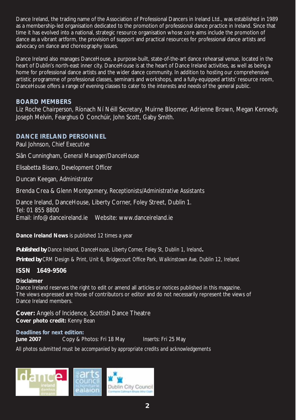Dance Ireland, the trading name of the Association of Professional Dancers in Ireland Ltd., was established in 1989 as a membership-led organisation dedicated to the promotion of professional dance practice in Ireland. Since that time it has evolved into a national, strategic resource organisation whose core aims include the promotion of dance as a vibrant artform, the provision of support and practical resources for professional dance artists and advocacy on dance and choreography issues.

Dance Ireland also manages DanceHouse, a purpose-built, state-of-the-art dance rehearsal venue, located in the heart of Dublin's north-east inner city. DanceHouse is at the heart of Dance Ireland activities, as well as being a home for professional dance artists and the wider dance community. In addition to hosting our comprehensive artistic programme of professional classes, seminars and workshops, and a fully-equipped artists' resource room, DanceHouse offers a range of evening classes to cater to the interests and needs of the general public.

### **BOARD MEMBERS**

Liz Roche *Chairperson*, Ríonach Ní Néill *Secretary*, Muirne Bloomer, Adrienne Brown, Megan Kennedy, Joseph Melvin, Fearghus Ó Conchúir, John Scott, Gaby Smith.

### **DANCE IRELAND PERSONNEL**

Paul Johnson, *Chief Executive*

Siân Cunningham, *General Manager/DanceHouse* 

Elisabetta Bisaro, *Development Officer*

Duncan Keegan, *Administrator* 

Brenda Crea & Glenn Montgomery, *Receptionists/Administrative Assistants* 

Dance Ireland, DanceHouse, Liberty Corner, Foley Street, Dublin 1. Tel: 01 855 8800 Email: info@danceireland.ie Website: www.danceireland.ie

**Dance Ireland News** is published 12 times a year

*Published by Dance Ireland, DanceHouse, Liberty Corner, Foley St, Dublin 1, Ireland.*

*Printed by CRM Design & Print, Unit 6, Bridgecourt Office Park, Walkinstown Ave. Dublin 12, Ireland.*

### **ISSN 1649-9506**

### **Disclaimer**

Dance Ireland reserves the right to edit or amend all articles or notices published in this magazine. The views expressed are those of contributors or editor and do not necessarily represent the views of Dance Ireland members.

**Cover:** Angels of Incidence, Scottish Dance Theatre **Cover photo credit:** Kenny Bean

**Deadlines for next edition: June 2007** Copy & Photos: Fri 18 May Inserts: Fri 25 May

*All photos submitted must be accompanied by appropriate credits and acknowledgements*

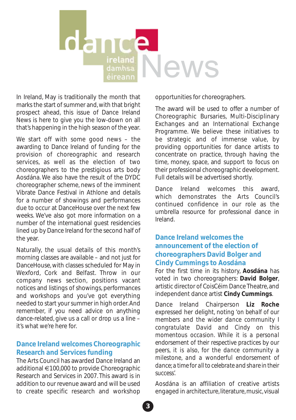**dana** ireland News

In Ireland, May is traditionally the month that marks the start of summer and, with that bright prospect ahead, this issue of Dance Ireland News is here to give you the low-down on all that's happening in the high season of the year.

We start off with some good news – the awarding to Dance Ireland of funding for the provision of choreographic and research services, as well as the election of two choreographers to the prestigious arts body Aosdána. We also have the result of the DYDC choreographer scheme, news of the imminent Vibrate Dance Festival in Athlone and details for a number of showings and performances due to occur at DanceHouse over the next few weeks. We've also got more information on a number of the international guest residencies lined up by Dance Ireland for the second half of the year.

Naturally, the usual details of this month's morning classes are available – and not just for DanceHouse, with classes scheduled for May in Wexford, Cork and Belfast. Throw in our company news section, positions vacant notices and listings of showings, performances and workshops and you've got everything needed to start your summer in high order. And remember, if you need advice on anything dance-related, give us a call or drop us a line – it's what we're here for.

### **Dance Ireland welcomes Choreographic Research and Services funding**

The Arts Council has awarded Dance Ireland an additional €100,000 to provide Choreographic Research and Services in 2007. This award is in addition to our revenue award and will be used to create specific research and workshop opportunities for choreographers.

The award will be used to offer a number of Choreographic Bursaries, Multi-Disciplinary Exchanges and an International Exchange Programme. We believe these initiatives to be strategic and of immense value, by providing opportunities for dance artists to concentrate on practice, through having the time, money, space, and support to focus on their professional choreographic development. Full details will be advertised shortly.

Dance Ireland welcomes this award which demonstrates the Arts Council's continued confidence in our role as the umbrella resource for professional dance in Ireland.

### **Dance Ireland welcomes the announcement of the election of choreographers David Bolger and Cindy Cummings to Aosdána**

For the first time in its history, **Aosdána** has voted in two choreographers: **David Bolger**, artistic director of CoisCéim Dance Theatre, and independent dance artist **Cindy Cummings**.

Dance Ireland Chairperson **Liz Roche** expressed her delight, noting '*on behalf of our members and the wider dance community I congratulate David and Cindy on this momentous occasion. While it is a personal endorsement of their respective practices by our peers, it is also, for the dance community a milestone, and a wonderful endorsement of dance; a time for all to celebrate and share in their success*'.

Aosdána is an affiliation of creative artists engaged in architecture, literature, music, visual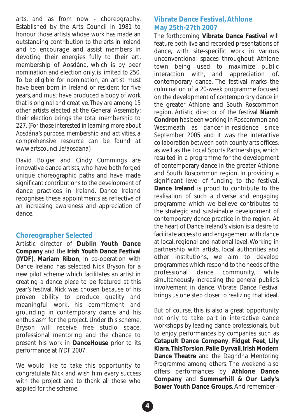arts, and as from now - choreography. Established by the Arts Council in 1981 to honour those artists whose work has made an outstanding contribution to the arts in Ireland and to encourage and assist members in devoting their energies fully to their art, membership of Aosdána, which is by peer nomination and election only, is limited to 250. To be eligible for nomination, an artist must have been born in Ireland or resident for five years, and must have produced a body of work that is original and creative. They are among 15 other artists elected at the General Assembly; their election brings the total membership to 227. (*For those interested in learning more about Aosdána's purpose, membership and activities, a comprehensive resource can be found at www.artscouncil.ie/aosdana)*

David Bolger and Cindy Cummings are innovative dance artists, who have both forged unique choreographic paths and have made significant contributions to the development of dance practices in Ireland. Dance Ireland recognises these appointments as reflective of an increasing awareness and appreciation of dance.

### **Choreographer Selected**

Artistic director of **Dublin Youth Dance Company** and the **Irish Youth Dance Festival (IYDF)**, **Mariam Ribon**, in co-operation with Dance Ireland has selected Nick Bryson for a new pilot scheme which facilitates an artist in creating a dance piece to be featured at this year's festival. Nick was chosen because of his proven ability to produce quality and meaningful work, his commitment and grounding in contemporary dance and his enthusiasm for the project. Under this scheme, Bryson will receive free studio space, professional mentoring and the chance to present his work in **DanceHouse** prior to its performance at IYDF 2007.

We would like to take this opportunity to congratulate Nick and wish him every success with the project and to thank all those who applied for the scheme.

### **Vibrate Dance Festival, Athlone May 25th-27th 2007**

The forthcoming **Vibrate Dance Festival** will feature both live and recorded presentations of dance, with site-specific work in various unconventional spaces throughout Athlone town being used to maximize public interaction with, and appreciation of, contemporary dance. The festival marks the culmination of a 20-week programme focused on the development of contemporary dance in the greater Athlone and South Roscommon region. Artistic director of the festival **Niamh Condron** has been working in Roscommon and Westmeath as dancer-in-residence since September 2005 and it was the interactive collaboration between both county arts offices, as well as the Local Sports Partnerships, which resulted in a programme for the development of contemporary dance in the greater Athlone and South Roscommon region. In providing a significant level of funding to the festival, **Dance Ireland** is proud to contribute to the realisation of such a diverse and engaging programme which we believe contributes to the strategic and sustainable development of contemporary dance practice in the region. At the heart of Dance Ireland's vision is a desire to facilitate access to and engagement with dance at local, regional and national level. Working in partnership with artists, local authorities and other institutions, we aim to develop programmes which respond to the needs of the professional dance community, while simultaneously increasing the general public's involvement in dance. Vibrate Dance Festival brings us one step closer to realizing that ideal.

But of course, this is also a great opportunity not only to take part in interactive dance workshops by leading dance professionals, but to enjoy performances by companies such as **Catapult Dance Company**, **Fidget Feet**, **Lily Kiara**,**ThisTorsion**,**Palle Dyrvall**,**Irish Modern Dance Theatre** and the Daghdha Mentoring Programme among others. The weekend also offers performances by **Athlone Dance Company** and **Summerhill & Our Lady's Bower Youth Dance Groups**. And remember -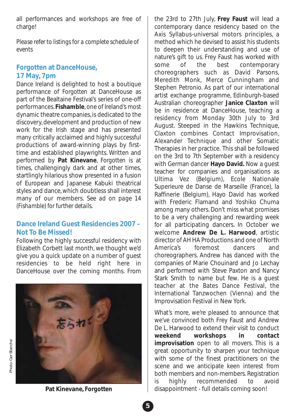all performances and workshops are free of charge!

*Please refer to listings for a complete schedule of events*

### *Forgotten* **at DanceHouse, 17 May, 7pm**

Dance Ireland is delighted to host a boutique performance of *Forgotten* at DanceHouse as part of the Bealtaine Festival's series of one-off performances.**Fishamble**, one of Ireland's most dynamic theatre companies, is dedicated to the discovery, development and production of new work for the Irish stage and has presented many critically acclaimed and highly successful productions of award-winning plays by firsttime and established playwrights. Written and performed by **Pat Kinevane**, *Forgotten* is at times, challengingly dark and at other times, startlingly hilarious show presented in a fusion of European and Japanese Kabuki theatrical styles and dance, which doubtless shall interest many of our members. *See ad on page 14 (Fishamble) for further details.*

### **Dance Ireland Guest Residencies 2007 – Not To Be Missed!**

Following the highly successful residency with Elizabeth Corbett last month, we thought we'd give you a quick update on a number of guest residencies to be held right here in DanceHouse over the coming months. From



the 23rd to 27th July, **Frey Faust** will lead a contemporary dance residency based on the Axis Syllabus-universal motors principles, a method which he devised to assist his students to deepen their understanding and use of nature's gift to us. Frey Faust has worked with some of the best contemporary choreographers such as David Parsons, Meredith Monk, Merce Cunningham and Stephen Petronio. As part of our international artist exchange programme, Edinburgh-based Australian choreographer **Janice Claxton** will be in residence at DanceHouse, teaching a residency from Monday 30th July to 3rd August. Steeped in the Hawkins Technique, Claxton combines Contact Improvisation, Alexander Technique and other Somatic Therapies in her practice. This shall be followed on the 3rd to 7th September with a residency with German dancer **Hayo David.** Now a guest teacher for companies and organisations as Ultima Vez (Belgium), Ecole Nationale Superieure de Danse de Marseille (France), la Raffinerie (Belgium), Hayo David has worked with Frederic Flamand and Yoshiko Chuma among many others. Don't miss what promises to be a very challenging and rewarding week for all participating dancers. In October we welcome **Andrew De L. Harwood**, artistic director of AH HA Productions and one of North America's foremost dancers and choreographers. Andrew has danced with the companies of Marie Chouinard and Jo Lechay and performed with Steve Paxton and Nancy Stark Smith to name but few. He is a guest teacher at the Bates Dance Festival, the International Tanzwochen (Vienna) and the

What's more, we're pleased to announce that we've convinced both Frey Faust and Andrew De L. Harwood to extend their visit to conduct **weekend workshops in contact improvisation** open to all movers. This is a great opportunity to sharpen your technique with some of the finest practitioners on the scene and we anticipate keen interest from both members and non-members. Registration is highly recommended to avoid disappointment - full details coming soon!

Improvisation Festival in New York.

**Pat Kinevane,** *Forgotten*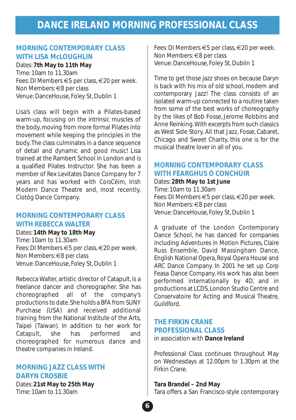# **DANCE IRELAND MORNING PROFESSIONAL CLASS**

### **MORNING CONTEMPORARY CLASS WITH LISA McLOUGHLIN**

#### Dates: **7th May to 11th May**

Time: 10am to 11.30am Fees: DI Members €5 per class, €20 per week. Non Members: €8 per class Venue: DanceHouse, Foley St, Dublin 1

Lisa's class will begin with a Pilates-based warm-up, focusing on the intrinsic muscles of the body, moving from more formal Pilates into movement while keeping the principles in the body.The class culminates in a dance sequence of detail and dynamic and good music! Lisa trained at the Rambert School in London and is a qualified Pilates Instructor. She has been a member of Rex Levitates Dance Company for 7 years and has worked with CoisCéim, Irish Modern Dance Theatre and, most recently, Ciotóg Dance Company.

### **MORNING CONTEMPORARY CLASS WITH REBECCA WALTER**

Dates: **14th May to 18th May** Time: 10am to 11.30am Fees: DI Members €5 per class, €20 per week. Non Members: €8 per class Venue: DanceHouse, Foley St, Dublin 1

Rebecca Walter, artistic director of Catapult, is a freelance dancer and choreographer. She has choreographed all of the company's productions to date. She holds a BFA from SUNY Purchase (USA) and received additional training from the National Institute of the Arts, Taipei (Taiwan). In addition to her work for Catapult, she has performed and choreographed for numerous dance and theatre companies in Ireland.

### **MORNING JAZZ CLASS WITH DARYN CROSBIE**

Dates: **21st May to 25th May** Time: 10am to 11.30am

Fees: DI Members €5 per class, €20 per week. Non Members: €8 per class Venue: DanceHouse, Foley St, Dublin 1

Time to get those jazz shoes on because Daryn is back with his mix of old school, modern and contemporary Jazz! The class consists of an isolated warm-up connected to a routine taken from some of the best works of choreography by the likes of Bob Fosse, Jerome Robbins and Anne Reinking.With excerpts from such classics as West Side Story, All that Jazz, Fosse, Cabaret, Chicago and Sweet Charity, this one is for the musical theatre lover in all of you.

### **MORNING CONTEMPORARY CLASS WITH FEARGHUS Ó CONCHÚIR**

Dates: **28th May to 1st June** Time: 10am to 11.30am Fees: DI Members €5 per class, €20 per week. Non Members: €8 per class Venue: DanceHouse, Foley St, Dublin 1

A graduate of the London Contemporary Dance School, he has danced for companies including Adventures in Motion Pictures, Claire Russ Ensemble, David Massingham Dance, English National Opera, Royal Opera House and ARC Dance Company. In 2001 he set up Corp Feasa Dance Company. His work has also been performed internationally by 4D, and in productions at LCDS, London Studio Centre and Conservatoire for Acting and Musical Theatre, Guildford.

### **THE FIRKIN CRANE PROFESSIONAL CLASS**

in association with **Dance Ireland**

Professional Class continues throughout May on Wednesdays at 12.00pm to 1.30pm at the Firkin Crane.

**Tara Brandel – 2nd May** Tara offers a San Francisco-style contemporary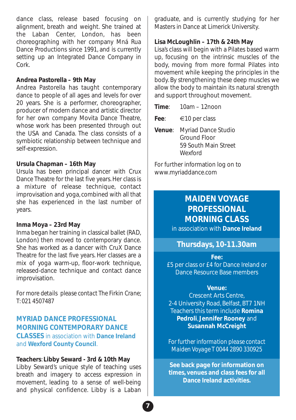dance class, release based focusing on alignment, breath and weight. She trained at the Laban Center, London, has been choreographing with her company Mná Rua Dance Productions since 1991, and is currently setting up an Integrated Dance Company in Cork.

### **Andrea Pastorella – 9th May**

Andrea Pastorella has taught contemporary dance to people of all ages and levels for over 20 years. She is a performer, choreographer, producer of modern dance and artistic director for her own company Movita Dance Theatre, whose work has been presented through out the USA and Canada. The class consists of a symbiotic relationship between technique and self-expression.

### **Ursula Chapman – 16th May**

Ursula has been principal dancer with Crux Dance Theatre for the last five years. Her class is a mixture of release technique, contact improvisation and yoga, combined with all that she has experienced in the last number of years.

### **Inma Moya – 23rd May**

Inma began her training in classical ballet (RAD, London) then moved to contemporary dance. She has worked as a dancer with CruX Dance Theatre for the last five years. Her classes are a mix of yoga warm-up, floor-work technique, released-dance technique and contact dance improvisation.

*For more details please contact The Firkin Crane; T: 021 4507487*

### **MYRIAD DANCE PROFESSIONAL MORNING CONTEMPORARY DANCE CLASSES** in association with **Dance Ireland** and **Wexford County Council**.

### **Teachers**: **Libby Seward - 3rd & 10th May**

Libby Seward's unique style of teaching uses breath and imagery to access expression in movement, leading to a sense of well-being and physical confidence. Libby is a Laban graduate, and is currently studying for her Masters in Dance at Limerick University.

### **Lisa McLoughlin – 17th & 24th May**

Lisa's class will begin with a Pilates based warm up, focusing on the intrinsic muscles of the body, moving from more formal Pilates into movement while keeping the principles in the body. By strengthening these deep muscles we allow the body to maintain its natural strength and support throughout movement.

**Time**: 10am – 12noon

**Fee**: €10 per class

**Venue**: Myriad Dance Studio Ground Floor 59 South Main Street Wexford

For further information log on to www.myriaddance.com

### **MAIDEN VOYAGE PROFESSIONAL MORNING CLASS**

in association with **Dance Ireland**

### **Thursdays, 10-11.30am**

**Fee:**

£5 per class or £4 for Dance Ireland or .<br>Dance Resource Base members

#### **Venue:**

Crescent Arts Centre, 2-4 University Road, Belfast, BT7 1NH Teachers this term include **Romina Pedroli**, **Jennifer Rooney** and **Susannah McCreight**

*For further information please contact Maiden Voyage T 0044 2890 330925*

**See back page for information on times, venues and class fees for all Dance Ireland activities.**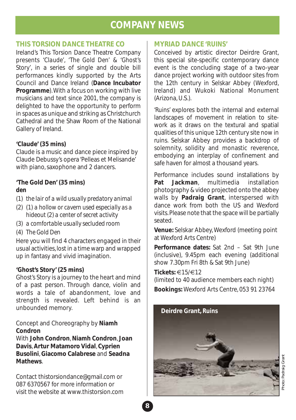# **COMPANY NEWS**

### **THIS TORSION DANCE THEATRE CO**

Ireland's This Torsion Dance Theatre Company presents *'Claude'*, *'The Gold Den'* & *'Ghost's Story'*, in a series of single and double bill performances kindly supported by the Arts Council and Dance Ireland (**Dance Incubator Programme**).With a focus on working with live musicians and text since 2001, the company is delighted to have the opportunity to perform in spaces as unique and striking as Christchurch Cathedral and the Shaw Room of the National Gallery of Ireland.

### **'Claude' (35 mins)**

Claude is a music and dance piece inspired by Claude Debussy's opera 'Pelleas et Melisande' with piano, saxophone and 2 dancers.

### **'The Gold Den' (35 mins)** *den*

- (1) *the lair of a wild usually predatory animal*
- (2) (1) *a hollow or cavern used especially as a hideout* (2) *a center of secret activity*
- (3) *a comfortable usually secluded room*
- (4) *The Gold Den*

Here you will find 4 characters engaged in their usual activities, lost in a time warp and wrapped up in fantasy and vivid imagination.

### **'Ghost's Story' (25 mins)**

Ghost's Story is a journey to the heart and mind of a past person. Through dance, violin and words a tale of abandonment, love and strength is revealed. Left behind is an unbounded memory.

Concept and Choreography by **Niamh Condron**

With **John Condron**,**Niamh Condron**, **Joan Davis**, **Artur Matamoro Vidal**, **Cyprien Busolini**,**Giacomo Calabrese** and **Seadna Mathews**.

Contact thistorsiondance@gmail.com or 087 6370567 for more information or visit the website at www.thistorsion.com

### **MYRIAD DANCE '***RUINS***'**

Conceived by artistic director Deirdre Grant, this special site-specific contemporary dance event is the concluding stage of a two-year dance project working with outdoor sites from the 12th century in Selskar Abbey (Wexford, Ireland) and Wukoki National Monument (Arizona, U.S.).

*'Ruins*' explores both the internal and external landscapes of movement in relation to sitework as it draws on the textural and spatial qualities of this unique 12th century site now in ruins. Selskar Abbey provides a backdrop of solemnity, solidity and monastic reverence, embodying an interplay of confinement and safe haven for almost a thousand years.

Performance includes sound installations by **Pat Jackman**, multimedia installation photography & video projected onto the abbey walls by **Padraig Grant**, interspersed with dance work from both the US and Wexford visits. Please note that the space will be partially seated.

**Venue:** Selskar Abbey, Wexford (meeting point at Wexford Arts Centre)

**Performance dates:** Sat 2nd – Sat 9th June (inclusive), 9.45pm each evening (additional show 7.30pm Fri 8th & Sat 9th June)

**Tickets:** €15/€12

(limited to 40 audience members each night) **Bookings:** Wexford Arts Centre, 053 91 23764

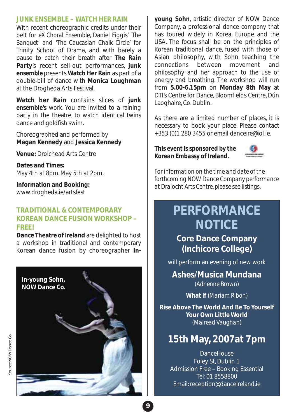### **JUNK ENSEMBLE –** *WATCH HER RAIN*

With recent choreographic credits under their belt for *eX Choral Ensemble*, Daniel Figgis' *'The Banquet'* and *'The Caucasian Chalk Circle'* for Trinity School of Drama, and with barely a pause to catch their breath after **The Rain Party**'s recent sell-out performances, *junk ensemble* presents **Watch Her Rain** as part of a double-bill of dance with **Monica Loughman** at the Drogheda Arts Festival.

**Watch her Rain** contains slices of *junk ensemble's* work. You are invited to a raining party in the theatre, to watch identical twins dance and goldfish swim.

Choreographed and performed by **Megan Kennedy** and **Jessica Kennedy**

**Venue:** Droichead Arts Centre

**Dates and Times:** May 4th at 8pm. May 5th at 2pm.

**Information and Booking:** www.drogheda.ie/artsfest

### **TRADITIONAL & CONTEMPORARY KOREAN DANCE FUSION WORKSHOP – FREE!**

**Dance Theatre of Ireland** are delighted to host a workshop in traditional and contemporary Korean dance fusion by choreographer **In-**



**young Sohn**, artistic director of NOW Dance Company, a professional dance company that has toured widely in Korea, Europe and the USA. The focus shall be on the principles of Korean traditional dance, fused with those of Asian philosophy, with Sohn teaching the connections between movement and philosophy and her approach to the use of energy and breathing. The workshop will run from **5.00-6.15pm** on **Monday 8th May** at DTI's Centre for Dance, Bloomfields Centre, Dún Laoghaire, Co. Dublin.

As there are a limited number of places, it is necessary to book your place. Please contact +353 (0)1 280 3455 or email danceire@iol.ie.

### *This event is sponsored by the Korean Embassy of Ireland.*



*For information on the time and date of the forthcoming NOW Dance Company performance at Draíocht Arts Centre, please see listings*.

# **PERFORMANCE NOTICE**

# **Core Dance Company (Inchicore College)**

will perform an evening of new work

**Ashes/Musica Mundana** *(Adrienne Brown)*

**What if** *(Mariam Ribon)*

**Rise Above The World And Be To Yourself Your Own Little World** *(Mairead Vaughan)*

# **15th May, 2007at 7pm**

**DanceHouse** Foley St, Dublin 1 Admission Free – Booking Essential Tel: 01 8558800 Email: reception@danceireland.ie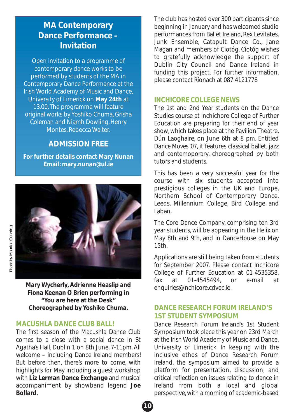# **MA Contemporary Dance Performance – Invitation**

Open invitation to a programme of contemporary dance works to be performed by students of the MA in Contemporary Dance Performance at the Irish World Academy of Music and Dance, University of Limerick on **May 24th** at 13.00. The programme will feature original works by Yoshiko Chuma, Grisha Coleman and Niamh Dowling, Henry Montes, Rebecca Walter.

### **ADMISSION FREE**

**For further details contact Mary Nunan Email: mary.nunan@ul.ie**



**Mary Wycherly, Adrienne Heaslip and Fiona Keenan O Brien performing in "You are here at the Desk" Choreographed by Yoshiko Chuma.**

### **MACUSHLA DANCE CLUB BALL!**

The first season of the Macushla Dance Club comes to a close with a social dance in St Agatha's Hall, Dublin 1 on 8th June, 7-11pm. All welcome – including Dance Ireland members! But before then, there's more to come, with highlights for May including a guest workshop with **Liz Lerman Dance Exchange** and musical accompaniment by showband legend **Joe Bollard**.

The club has hosted over 300 participants since beginning in January and has welcomed studio performances from Ballet Ireland, Rex Levitates, Junk Ensemble, Catapult Dance Co., Jane Magan and members of Ciotóg. Ciotóg wishes to gratefully acknowledge the support of Dublin City Council and Dance Ireland in funding this project. For further information, please contact Ríonach at 087 4121778

### **INCHICORE COLLEGE NEWS**

The 1st and 2nd Year students on the Dance Studies course at Inchichore College of Further Education are preparing for their end of year show, which takes place at the Pavilion Theatre, Dún Laoghaire, on June 6th at 8 pm. Entitled *Dance Moves '07*, it features classical ballet, jazz and contemoporary, choreographed by both tutors and students.

This has been a very successful year for the course with six students accepted into prestigious colleges in the UK and Europe, Northern School of Contemporary Dance, Leeds, Millennium College, Bird College and Laban.

The Core Dance Company, comprising ten 3rd year students, will be appearing in the Helix on May 8th and 9th, and in DanceHouse on May 15th.

Applications are still being taken from students for September 2007. Please contact Inchicore College of Further Education at 01-4535358, fax at 01-4545494, or e-mail at enquiries@inchicore.cdvec.ie.

### **DANCE RESEARCH FORUM IRELAND'S 1ST STUDENT SYMPOSIUM**

Dance Research Forum Ireland's 1st Student Symposium took place this year on 23rd March at the Irish World Academy of Music and Dance, University of Limerick. In keeping with the inclusive ethos of Dance Research Forum Ireland, the symposium aimed to provide a platform for presentation, discussion, and critical reflection on issues relating to dance in Ireland from both a local and global perspective, with a morning of academic-based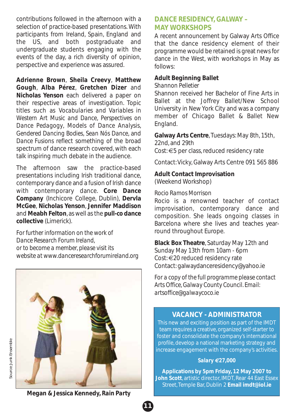contributions followed in the afternoon with a selection of practice-based presentations. With participants from Ireland, Spain, England and the US, and both postgraduate and undergraduate students engaging with the events of the day, a rich diversity of opinion, perspective and experience was assured.

**Adrienne Brown**, **Sheila Creevy**, **Matthew Gough**, **Alba Pérez**, **Gretchen Dizer** and **Nicholas Yenson** each delivered a paper on their respective areas of investigation. Topic titles such as *Vocabularies and Variables in Western Art Music and Dance*, *Perspectives on Dance Pedagogy*, *Models of Dance Analysis*, *Gendered Dancing Bodies*, *Sean Nós Dance*, and *Dance Fusions* reflect something of the broad spectrum of dance research covered, with each talk inspiring much debate in the audience.

The afternoon saw the practice-based presentations including Irish traditional dance, contemporary dance and a fusion of Irish dance with contemporary dance. **Core Dance Company** (Inchicore College, Dublin), **Dervla McGee**, **Nicholas Yenson**, **Jennifer Maddison** and **Meabh Felton**, as well as the *pull-co* **dance collective** (Limerick).

*For further information on the work of Dance Research Forum Ireland, or to become a member, please visit its website at www.danceresearchforumireland.org*



# Source: Junk Ensemble Source: Junk Ensemble

**Megan & Jessica Kennedy,** *Rain Party*

### **DANCE RESIDENCY, GALWAY – MAY WORKSHOPS**

A recent announcement by Galway Arts Office that the dance residency element of their programme would be retained is great news for dance in the West, with workshops in May as follows:

### **Adult Beginning Ballet**

*Shannon Pelletier*

Shannon received her Bachelor of Fine Arts in Ballet at the Joffrey Ballet/New School University in New York City and was a company member of Chicago Ballet & Ballet New England.

**Galway Arts Centre**, Tuesdays: May 8th, 15th, 22nd, and 29th Cost: €5 per class, reduced residency rate

Contact: Vicky, Galway Arts Centre 091 565 886

### **Adult Contact Improvisation** (Weekend Workshop)

### *Rocio Ramos Morrison*

Rocio is a renowned teacher of contact improvisation, contemporary dance and composition. She leads ongoing classes in Barcelona where she lives and teaches yearround throughout Europe.

**Black Box Theatre**, Saturday May 12th and Sunday May 13th from 10am - 6pm Cost: €20 reduced residency rate Contact: galwaydanceresidency@yahoo.ie

*For a copy of the full programme please contact Arts Office, Galway County Council. Email: artsoffice@galwaycoco.ie*

### **VACANCY - ADMINISTRATOR**

This new and exciting position as part of the IMDT team requires a creative, organized self-starter to foster and consolidate the company's international profile, develop a national marketing strategy and increase engagement with the company's activities.

### *Salary €27,000*

**Applications by 5pm Friday, 12 May 2007 to John Scott**, artistic director, IMDT, Rear 44 East Essex Street, Temple Bar, Dublin 2 **Email imdt@iol.ie**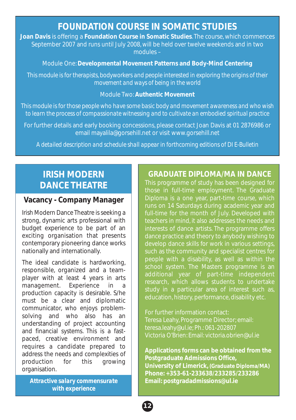# **FOUNDATION COURSE IN SOMATIC STUDIES**

**Joan Davis** is offering a **Foundation Course in Somatic Studies**. The course, which commences September 2007 and runs until July 2008, will be held over twelve weekends and in two modules –

Module One:**Developmental Movement Patterns and Body-Mind Centering**

*This module is for therapists, bodyworkers and people interested in exploring the origins of their movement and ways of being in the world*

### Module Two: **Authentic Movement**

*This module is for those people who have some basic body and movement awareness and who wish to learn the process of compassionate witnessing and to cultivate an embodied spiritual practice* 

For further details and early booking concessions, please contact Joan Davis at 01 2876986 or email mayalila@gorsehill.net or visit www.gorsehill.net

*A detailed description and schedule shall appear in forthcoming editions of DI E-Bulletin*

# **IRISH MODERN DANCE THEATRE**

### **Vacancy - Company Manager**

Irish Modern Dance Theatre is seeking a strong, dynamic arts professional with budget experience to be part of an exciting organisation that presents contemporary pioneering dance works nationally and internationally.

The ideal candidate is hardworking, responsible, organized and a teamplayer with at least 4 years in arts management. Experience in a production capacity is desirable. S/he must be a clear and diplomatic communicator, who enjoys problemsolving and who also has an understanding of project accounting and financial systems. This is a fastpaced, creative environment and requires a candidate prepared to address the needs and complexities of production for this growing organisation.

*Attractive salary commensurate with experience*

### **GRADUATE DIPLOMA/MA IN DANCE**

This programme of study has been designed for those in full-time employment. The Graduate Diploma is a one year, part-time course, which runs on 14 Saturdays during academic year and full-time for the month of July. Developed with teachers in mind, it also addresses the needs and interests of dance artists. The programme offers dance practice and theory to anybody wishing to develop dance skills for work in various settings, such as the community and specialist centres for people with a disability, as well as within the school system. The Masters programme is an additional year of part-time independent research, which allows students to undertake study in a particular area of interest such as, education, history, performance, disability etc.

For further information contact: Teresa Leahy, Programme Director; email: teresa.leahy@ul.ie; Ph.: 061-202807 Victoria O'Brien: Email: victoria.obrien@ul.ie

**Applications forms can be obtained from the Postgraduate Admissions Office, University of Limerick, (Graduate Diploma/MA) Phone: +353-61-233638/233285/233286 Email: postgradadmissions@ul.ie**

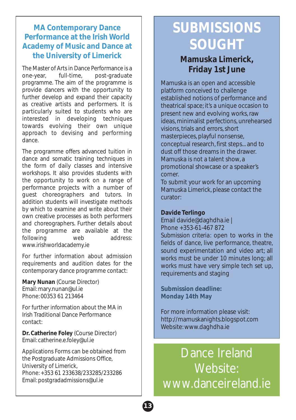### **MA Contemporary Dance Performance at the Irish World Academy of Music and Dance at the University of Limerick**

The Master of Arts in Dance Performance is a one-year, full-time, post-graduate programme. The aim of the programme is provide dancers with the opportunity to further develop and expand their capacity as creative artists and performers. It is particularly suited to students who are interested in developing techniques towards evolving their own unique approach to devising and performing dance.

The programme offers advanced tuition in dance and somatic training techniques in the form of daily classes and intensive workshops. It also provides students with the opportunity to work on a range of performance projects with a number of guest choreographers and tutors. In addition students will investigate methods by which to examine and write about their own creative processes as both performers and choreographers. Further details about the programme are available at the following web address: www.irishworldacademy.ie

For further information about admission requirements and audition dates for the contemporary dance programme contact:

**Mary Nunan** (Course Director) Email: mary.nunan@ul.ie Phone: 00353 61 213464

For further information about the MA in Irish Traditional Dance Performance contact:

**Dr. Catherine Foley** (Course Director) Email: catherine.e.foley@ul.ie

Applications Forms can be obtained from the Postgraduate Admissions Office, University of Limerick, Phone: +353 61 233638/233285/233286 Email: postgradadmissions@ul.ie

# **SUBMISSIONS SOUGHT**

# **Mamuska Limerick, Friday 1st June**

Mamuska is an open and accessible platform conceived to challenge established notions of performance and theatrical space; it's a unique occasion to present new and evolving works, raw ideas, minimalist perfections, unrehearsed visions, trials and errors, short masterpieces, playful nonsense, conceptual research, first steps... and to dust off those dreams in the drawer. Mamuska is not a talent show, a promotional showcase or a speaker's corner.

To submit your work for an upcoming Mamuska Limerick, please contact the curator:

### **Davide Terlingo**

Email davide@daghdha.ie | Phone +353-61-467 872

*Submission criteria:* open to works in the fields of dance, live performance, theatre, sound experimentation and video art; all works must be under 10 minutes long; all works must have very simple tech set up, requirements and staging

**Submission deadline: Monday 14th May**

For more information please visit: http://mamuskanights.blogspot.com Website: www.daghdha.ie

Dance Ireland Website: www.danceireland.ie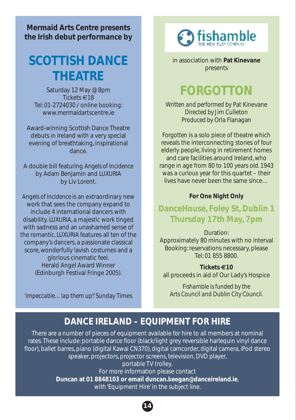**Mermaid Arts Centre presents the Irish debut performance by**

# **SCOTTISH DANCE THEATRE**

Saturday 12 May @ 8pm Tickets €18 Tel: 01-2724030 / online booking: www.mermaidartscentre.ie

Award-winning Scottish Dance Theatre debuts in Ireland with a very special evening of breathtaking, inspirational dance.

A double bill featuring *Angels of Incidence* by Adam Benjamin and *LUXURIA* by Liv Lorent.

*Angels of Incidence* is an extraordinary new work that sees the company expand to include 4 international dancers with disability. *LUXURIA*, a majestic work tinged with sadness and an unashamed sense of the romantic. *LUXURIA* features all ten of the company's dancers, a passionate classical score, wonderfully lavish costumes and a glorious cinematic feel. Herald Angel Award Winner (Edinburgh Festival Fringe 2005).

*'impeccable…lap them up!'* Sunday Times



in association with **Pat Kinevane** presents

# **FORGOTTON**

*Written and performed by* Pat Kinevane *Directed by* Jim Culleton *Produced by* Orla Flanagan

*Forgotten* is a solo piece of theatre which reveals the interconnecting stories of four elderly people, living in retirement homes and care facilities around Ireland, who range in age from 80 to 100 years old. 1943 was a curious year for this quartet – their lives have never been the same since…

### **For One Night Only**

# **DanceHouse, Foley St, Dublin 1 Thursday 17th May, 7pm**

Duration: Approximately 80 minutes with no interval Booking: reservations necessary, please Tel: 01 855 8800.

**Tickets €10** all proceeds in aid of Our Lady's Hospice

*Fishamble is funded by the Arts Council and Dublin City Council.*

# **DANCE IRELAND – EQUIPMENT FOR HIRE**

There are a number of pieces of equipment available for hire to all members at nominal rates. These include: portable dance floor (black/light grey reversible harlequin vinyl dance floor), ballet barres, piano (digital Kawai CN370), digital camcorder, digital camera, iPod stereo speaker, projectors, projector screens, television, DVD player, portable TV trolley.

> For more information please contact **Duncan at 01 8848103 or email duncan.keegan@danceireland.ie**, with 'Equipment Hire' in the subject line.

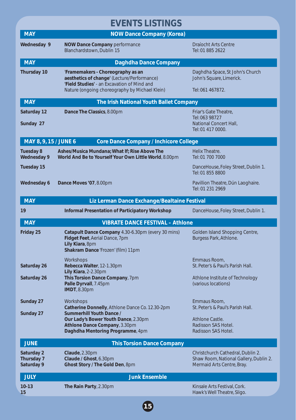# **EVENTS LISTINGS**

| <b>MAY</b>                                                             | <b>NOW Dance Company (Korea)</b>                                                                                                                                                  |                                                                                                           |  |  |
|------------------------------------------------------------------------|-----------------------------------------------------------------------------------------------------------------------------------------------------------------------------------|-----------------------------------------------------------------------------------------------------------|--|--|
| Wednesday 9                                                            | <b>NOW Dance Company performance</b><br>Blanchardstown, Dublin 15                                                                                                                 | Draíocht Arts Centre<br>Tel: 01 885 2622                                                                  |  |  |
| <b>MAY</b>                                                             | Daghdha Dance Company                                                                                                                                                             |                                                                                                           |  |  |
| <b>Thursday 10</b>                                                     | 'Framemakers - Choreography as an<br>aesthetics of change' (Lecture/Performance)<br>'Field Studies' - an Excavation of Mind and<br>Nature (ongoing choreography by Michael Klein) | Daghdha Space, St John's Church<br>John's Square, Limerick.<br>Tel: 061 467872.                           |  |  |
| <b>MAY</b><br>The Irish National Youth Ballet Company                  |                                                                                                                                                                                   |                                                                                                           |  |  |
| Saturday 12<br>Sunday 27                                               | Dance The Classics, 8.00pm                                                                                                                                                        | Friar's Gate Theatre,<br>Tel: 063 98727<br>National Concert Hall,<br>Tel: 01 417 0000.                    |  |  |
| MAY 8, 9, 15 / JUNE 6<br><b>Core Dance Company / Inchicore College</b> |                                                                                                                                                                                   |                                                                                                           |  |  |
| <b>Tuesday 8</b><br><b>Wednesday 9</b>                                 | Ashes/Musica Mundana; What If; Rise Above The<br>World And Be to Yourself Your Own Little World, 8.00pm                                                                           | Helix Theatre.<br>Tel: 01 700 7000                                                                        |  |  |
| <b>Tuesday 15</b>                                                      |                                                                                                                                                                                   | DanceHouse, Foley Street, Dublin 1.<br>Tel: 01 855 8800                                                   |  |  |
| Wednesday 6                                                            | Dance Moves '07, 8.00pm                                                                                                                                                           | Pavillion Theatre, Dún Laoghaire.<br>Tel: 01 231 2969                                                     |  |  |
| <b>MAY</b>                                                             | Liz Lerman Dance Exchange/Bealtaine Festival                                                                                                                                      |                                                                                                           |  |  |
| 19                                                                     | <b>Informal Presentation of Participatory Workshop</b>                                                                                                                            | DanceHouse, Foley Street, Dublin 1.                                                                       |  |  |
| <b>MAY</b>                                                             | <b>VIBRATE DANCE FESTIVAL - Athlone</b>                                                                                                                                           |                                                                                                           |  |  |
| Friday 25                                                              | Catapult Dance Company 4.30-6.30pm (every 30 mins)<br>Fidget Feet, Aerial Dance, 7pm<br>Lily Kiara, 8pm<br>Shakram Dance 'Frozen' (film) 11pm                                     | Golden Island Shopping Centre,<br>Burgess Park, Athlone.                                                  |  |  |
| Saturday 26                                                            | Workshops<br>Rebecca Walter, 12-1.30pm<br>Lily Kiara, 2-2.30pm                                                                                                                    | Emmaus Room,<br>St. Peter's & Paul's Parish Hall.                                                         |  |  |
| Saturday 26                                                            | This Torsion Dance Company, 7pm<br>Palle Dyrvall, 7.45pm<br><b>IMDT, 8.30pm</b>                                                                                                   | Athlone Institute of Technology<br>(various locations)                                                    |  |  |
| Sunday 27                                                              | Workshops<br>Catherine Donnelly, Athlone Dance Co. 12.30-2pm                                                                                                                      | Emmaus Room.<br>St. Peter's & Paul's Parish Hall.                                                         |  |  |
| Sunday 27                                                              | Summerhill Youth Dance /<br>Our Lady's Bower Youth Dance, 2.30pm<br>Athlone Dance Company, 3.30pm<br>Daghdha Mentoring Programme, 4pm                                             | Athlone Castle.<br>Radisson SAS Hotel.<br>Radisson SAS Hotel.                                             |  |  |
| <b>JUNE</b>                                                            | <b>This Torsion Dance Company</b>                                                                                                                                                 |                                                                                                           |  |  |
| Saturday 2<br>Thursday 7<br>Saturday 9                                 | Claude, 2.30pm<br>Claude / Ghost, 6.30pm<br>Ghost Story / The Gold Den, 8pm                                                                                                       | Christchurch Cathedral, Dublin 2.<br>Shaw Room, National Gallery, Dublin 2.<br>Mermaid Arts Centre, Bray. |  |  |
| <b>JULY</b>                                                            | <b>Junk Ensemble</b>                                                                                                                                                              |                                                                                                           |  |  |
| $10-13$<br>15                                                          | The Rain Party, 2.30pm                                                                                                                                                            | Kinsale Arts Festival, Cork.<br>Hawk's Well Theatre, Sligo.                                               |  |  |
|                                                                        | $\overline{\mathbf{15}}$                                                                                                                                                          |                                                                                                           |  |  |